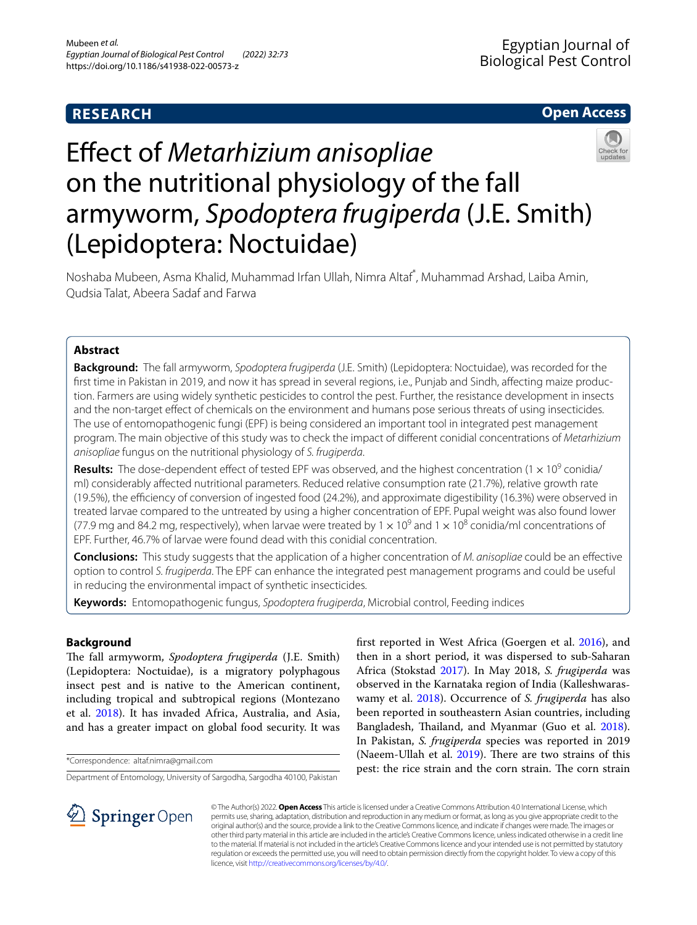# **RESEARCH**

# **Open Access**



# Efect of *Metarhizium anisopliae* on the nutritional physiology of the fall armyworm, *Spodoptera frugiperda* (J.E. Smith) (Lepidoptera: Noctuidae)

Noshaba Mubeen, Asma Khalid, Muhammad Irfan Ullah, Nimra Altaf\* , Muhammad Arshad, Laiba Amin, Qudsia Talat, Abeera Sadaf and Farwa

# **Abstract**

**Background:** The fall armyworm, *Spodoptera frugiperda* (J.E. Smith) (Lepidoptera: Noctuidae), was recorded for the first time in Pakistan in 2019, and now it has spread in several regions, i.e., Punjab and Sindh, affecting maize production. Farmers are using widely synthetic pesticides to control the pest. Further, the resistance development in insects and the non-target efect of chemicals on the environment and humans pose serious threats of using insecticides. The use of entomopathogenic fungi (EPF) is being considered an important tool in integrated pest management program. The main objective of this study was to check the impact of diferent conidial concentrations of *Metarhizium anisopliae* fungus on the nutritional physiology of *S. frugiperda*.

**Results:** The dose-dependent effect of tested EPF was observed, and the highest concentration (1 x 10<sup>9</sup> conidia/ ml) considerably afected nutritional parameters. Reduced relative consumption rate (21.7%), relative growth rate (19.5%), the efciency of conversion of ingested food (24.2%), and approximate digestibility (16.3%) were observed in treated larvae compared to the untreated by using a higher concentration of EPF. Pupal weight was also found lower (77.9 mg and 84.2 mg, respectively), when larvae were treated by 1  $\times$  10<sup>9</sup> and 1  $\times$  10<sup>8</sup> conidia/ml concentrations of EPF. Further, 46.7% of larvae were found dead with this conidial concentration.

**Conclusions:** This study suggests that the application of a higher concentration of *M. anisopliae* could be an efective option to control *S. frugiperda*. The EPF can enhance the integrated pest management programs and could be useful in reducing the environmental impact of synthetic insecticides.

**Keywords:** Entomopathogenic fungus, *Spodoptera frugiperda*, Microbial control, Feeding indices

# **Background**

The fall armyworm, *Spodoptera frugiperda* (J.E. Smith) (Lepidoptera: Noctuidae), is a migratory polyphagous insect pest and is native to the American continent, including tropical and subtropical regions (Montezano et al. [2018](#page-4-0)). It has invaded Africa, Australia, and Asia, and has a greater impact on global food security. It was

\*Correspondence: altaf.nimra@gmail.com

Department of Entomology, University of Sargodha, Sargodha 40100, Pakistan

frst reported in West Africa (Goergen et al. [2016](#page-4-1)), and then in a short period, it was dispersed to sub-Saharan Africa (Stokstad [2017](#page-4-2)). In May 2018, *S. frugiperda* was observed in the Karnataka region of India (Kalleshwaraswamy et al. [2018](#page-4-3)). Occurrence of *S. frugiperda* has also been reported in southeastern Asian countries, including Bangladesh, Thailand, and Myanmar (Guo et al. [2018](#page-4-4)). In Pakistan, *S. frugiperda* species was reported in 2019 (Naeem-Ullah et al.  $2019$ ). There are two strains of this pest: the rice strain and the corn strain. The corn strain



© The Author(s) 2022. **Open Access** This article is licensed under a Creative Commons Attribution 4.0 International License, which permits use, sharing, adaptation, distribution and reproduction in any medium or format, as long as you give appropriate credit to the original author(s) and the source, provide a link to the Creative Commons licence, and indicate if changes were made. The images or other third party material in this article are included in the article's Creative Commons licence, unless indicated otherwise in a credit line to the material. If material is not included in the article's Creative Commons licence and your intended use is not permitted by statutory regulation or exceeds the permitted use, you will need to obtain permission directly from the copyright holder. To view a copy of this licence, visit [http://creativecommons.org/licenses/by/4.0/.](http://creativecommons.org/licenses/by/4.0/)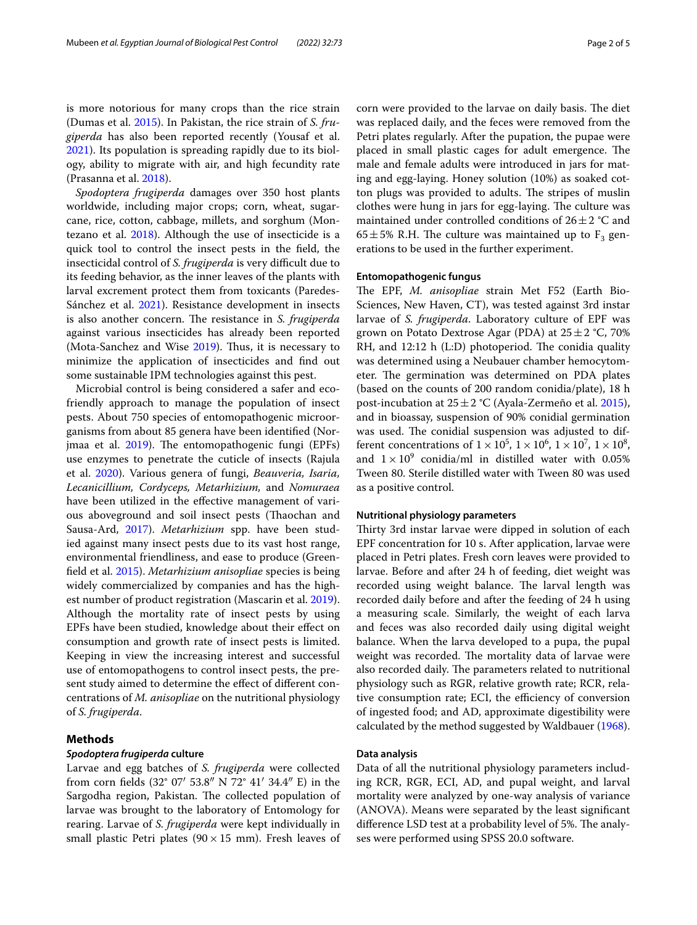is more notorious for many crops than the rice strain (Dumas et al. [2015](#page-4-6)). In Pakistan, the rice strain of *S. frugiperda* has also been reported recently (Yousaf et al. [2021](#page-4-7)). Its population is spreading rapidly due to its biology, ability to migrate with air, and high fecundity rate (Prasanna et al. [2018](#page-4-8)).

*Spodoptera frugiperda* damages over 350 host plants worldwide, including major crops; corn, wheat, sugarcane, rice, cotton, cabbage, millets, and sorghum (Mon-tezano et al. [2018](#page-4-0)). Although the use of insecticide is a quick tool to control the insect pests in the feld, the insecticidal control of *S. frugiperda* is very difficult due to its feeding behavior, as the inner leaves of the plants with larval excrement protect them from toxicants (Paredes-Sánchez et al. [2021](#page-4-9)). Resistance development in insects is also another concern. The resistance in *S. frugiperda* against various insecticides has already been reported (Mota-Sanchez and Wise  $2019$ ). Thus, it is necessary to minimize the application of insecticides and fnd out some sustainable IPM technologies against this pest.

Microbial control is being considered a safer and ecofriendly approach to manage the population of insect pests. About 750 species of entomopathogenic microorganisms from about 85 genera have been identifed (Nor-jmaa et al. [2019\)](#page-4-11). The entomopathogenic fungi (EPFs) use enzymes to penetrate the cuticle of insects (Rajula et al. [2020](#page-4-12)). Various genera of fungi, *Beauveria, Isaria, Lecanicillium, Cordyceps, Metarhizium,* and *Nomuraea* have been utilized in the efective management of various aboveground and soil insect pests (Thaochan and Sausa-Ard, [2017\)](#page-4-13). *Metarhizium* spp. have been studied against many insect pests due to its vast host range, environmental friendliness, and ease to produce (Greenfeld et al. [2015\)](#page-4-14). *Metarhizium anisopliae* species is being widely commercialized by companies and has the highest number of product registration (Mascarin et al. [2019](#page-4-15)). Although the mortality rate of insect pests by using EPFs have been studied, knowledge about their efect on consumption and growth rate of insect pests is limited. Keeping in view the increasing interest and successful use of entomopathogens to control insect pests, the present study aimed to determine the efect of diferent concentrations of *M. anisopliae* on the nutritional physiology of *S. frugiperda*.

# **Methods**

#### *Spodoptera frugiperda* **culture**

Larvae and egg batches of *S. frugiperda* were collected from corn felds (32° 07′ 53.8″ N 72° 41′ 34.4″ E) in the Sargodha region, Pakistan. The collected population of larvae was brought to the laboratory of Entomology for rearing. Larvae of *S. frugiperda* were kept individually in small plastic Petri plates ( $90 \times 15$  mm). Fresh leaves of corn were provided to the larvae on daily basis. The diet was replaced daily, and the feces were removed from the Petri plates regularly. After the pupation, the pupae were placed in small plastic cages for adult emergence. The male and female adults were introduced in jars for mating and egg-laying. Honey solution (10%) as soaked cotton plugs was provided to adults. The stripes of muslin clothes were hung in jars for egg-laying. The culture was maintained under controlled conditions of  $26 \pm 2$  °C and 65 $\pm$ 5% R.H. The culture was maintained up to F<sub>3</sub> generations to be used in the further experiment.

#### **Entomopathogenic fungus**

The EPF, M. anisopliae strain Met F52 (Earth Bio-Sciences, New Haven, CT), was tested against 3rd instar larvae of *S. frugiperda*. Laboratory culture of EPF was grown on Potato Dextrose Agar (PDA) at  $25 \pm 2$  °C, 70% RH, and  $12:12$  h (L:D) photoperiod. The conidia quality was determined using a Neubauer chamber hemocytometer. The germination was determined on PDA plates (based on the counts of 200 random conidia/plate), 18 h post-incubation at  $25 \pm 2$  °C (Ayala-Zermeño et al. [2015](#page-4-16)), and in bioassay, suspension of 90% conidial germination was used. The conidial suspension was adjusted to different concentrations of  $1 \times 10^5$ ,  $1 \times 10^6$ ,  $1 \times 10^7$ ,  $1 \times 10^8$ , and  $1 \times 10^9$  conidia/ml in distilled water with 0.05% Tween 80. Sterile distilled water with Tween 80 was used as a positive control.

## **Nutritional physiology parameters**

Thirty 3rd instar larvae were dipped in solution of each EPF concentration for 10 s. After application, larvae were placed in Petri plates. Fresh corn leaves were provided to larvae. Before and after 24 h of feeding, diet weight was recorded using weight balance. The larval length was recorded daily before and after the feeding of 24 h using a measuring scale. Similarly, the weight of each larva and feces was also recorded daily using digital weight balance. When the larva developed to a pupa, the pupal weight was recorded. The mortality data of larvae were also recorded daily. The parameters related to nutritional physiology such as RGR, relative growth rate; RCR, relative consumption rate; ECI, the efficiency of conversion of ingested food; and AD, approximate digestibility were calculated by the method suggested by Waldbauer [\(1968](#page-4-17)).

## **Data analysis**

Data of all the nutritional physiology parameters including RCR, RGR, ECI, AD, and pupal weight, and larval mortality were analyzed by one-way analysis of variance (ANOVA). Means were separated by the least signifcant difference LSD test at a probability level of 5%. The analyses were performed using SPSS 20.0 software.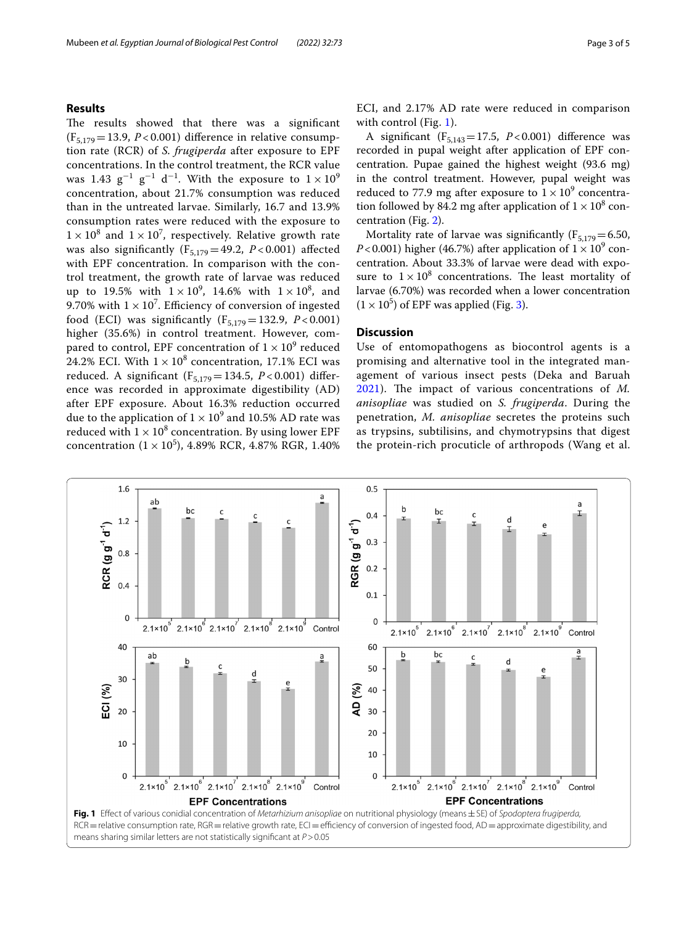# **Results**

The results showed that there was a significant  $(F_{5,179} = 13.9, P < 0.001)$  difference in relative consumption rate (RCR) of *S. frugiperda* after exposure to EPF concentrations. In the control treatment, the RCR value was 1.43  $g^{-1}$   $g^{-1}$  d<sup>-1</sup>. With the exposure to  $1 \times 10^9$ concentration, about 21.7% consumption was reduced than in the untreated larvae. Similarly, 16.7 and 13.9% consumption rates were reduced with the exposure to  $1 \times 10^8$  and  $1 \times 10^7$ , respectively. Relative growth rate was also significantly ( $F_{5,179}$ =49.2, *P* < 0.001) affected with EPF concentration. In comparison with the control treatment, the growth rate of larvae was reduced up to 19.5% with  $1 \times 10^9$ , 14.6% with  $1 \times 10^8$ , and 9.70% with  $1 \times 10^7$ . Efficiency of conversion of ingested food (ECI) was significantly  $(F_{5,179} = 132.9, P < 0.001)$ higher (35.6%) in control treatment. However, compared to control, EPF concentration of  $1 \times 10^9$  reduced 24.2% ECI. With  $1 \times 10^8$  concentration, 17.1% ECI was reduced. A significant  $(F_{5,179} = 134.5, P < 0.001)$  difference was recorded in approximate digestibility (AD) after EPF exposure. About 16.3% reduction occurred due to the application of  $1 \times 10^9$  and 10.5% AD rate was reduced with  $1 \times 10^8$  concentration. By using lower EPF concentration  $(1 \times 10^5)$ , 4.89% RCR, 4.87% RGR, 1.40% ECI, and 2.17% AD rate were reduced in comparison with control (Fig. [1](#page-2-0)).

A significant  $(F_{5,143}=17.5, P<0.001)$  difference was recorded in pupal weight after application of EPF concentration. Pupae gained the highest weight (93.6 mg) in the control treatment. However, pupal weight was reduced to 77.9 mg after exposure to  $1 \times 10^9$  concentration followed by 84.2 mg after application of  $1 \times 10^8$  concentration (Fig. [2](#page-3-0)).

Mortality rate of larvae was significantly ( $F_{5,179}$  = 6.50, *P*<0.001) higher (46.7%) after application of  $1 \times 10^9$  concentration. About 33.3% of larvae were dead with exposure to  $1 \times 10^8$  concentrations. The least mortality of larvae (6.70%) was recorded when a lower concentration  $(1 \times 10^5)$  of EPF was applied (Fig. [3](#page-3-1)).

## **Discussion**

Use of entomopathogens as biocontrol agents is a promising and alternative tool in the integrated management of various insect pests (Deka and Baruah [2021\)](#page-4-18). The impact of various concentrations of M. *anisopliae* was studied on *S. frugiperda*. During the penetration, *M. anisopliae* secretes the proteins such as trypsins, subtilisins, and chymotrypsins that digest the protein-rich procuticle of arthropods (Wang et al.

<span id="page-2-0"></span>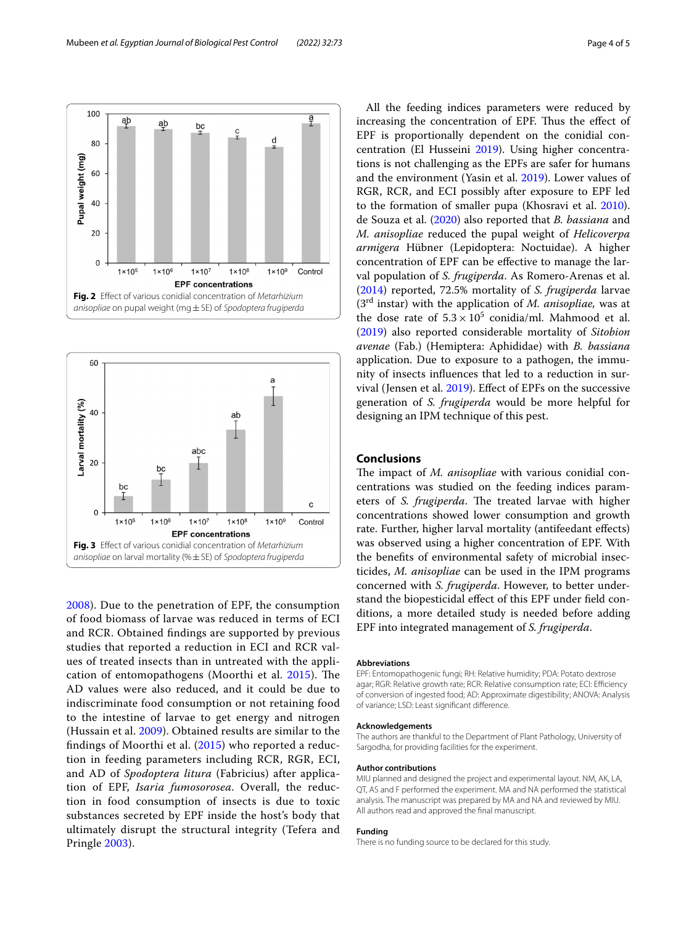

<span id="page-3-0"></span>

<span id="page-3-1"></span>[2008\)](#page-4-19). Due to the penetration of EPF, the consumption of food biomass of larvae was reduced in terms of ECI and RCR. Obtained fndings are supported by previous studies that reported a reduction in ECI and RCR values of treated insects than in untreated with the appli-cation of entomopathogens (Moorthi et al. [2015\)](#page-4-20). The AD values were also reduced, and it could be due to indiscriminate food consumption or not retaining food to the intestine of larvae to get energy and nitrogen (Hussain et al. [2009\)](#page-4-21). Obtained results are similar to the findings of Moorthi et al.  $(2015)$  $(2015)$  who reported a reduction in feeding parameters including RCR, RGR, ECI, and AD of *Spodoptera litura* (Fabricius) after application of EPF, *Isaria fumosorosea*. Overall, the reduction in food consumption of insects is due to toxic substances secreted by EPF inside the host's body that ultimately disrupt the structural integrity (Tefera and Pringle [2003\)](#page-4-22).

All the feeding indices parameters were reduced by increasing the concentration of EPF. Thus the effect of EPF is proportionally dependent on the conidial concentration (El Husseini [2019](#page-4-23)). Using higher concentrations is not challenging as the EPFs are safer for humans and the environment (Yasin et al. [2019](#page-4-24)). Lower values of RGR, RCR, and ECI possibly after exposure to EPF led to the formation of smaller pupa (Khosravi et al. [2010](#page-4-25)). de Souza et al. ([2020\)](#page-4-26) also reported that *B. bassiana* and *M. anisopliae* reduced the pupal weight of *Helicoverpa armigera* Hübner (Lepidoptera: Noctuidae). A higher concentration of EPF can be efective to manage the larval population of *S. frugiperda*. As Romero-Arenas et al. ([2014\)](#page-4-27) reported, 72.5% mortality of *S. frugiperda* larvae (3rd instar) with the application of *M. anisopliae,* was at the dose rate of  $5.3 \times 10^5$  conidia/ml. Mahmood et al. ([2019\)](#page-4-28) also reported considerable mortality of *Sitobion avenae* (Fab.) (Hemiptera: Aphididae) with *B. bassiana* application. Due to exposure to a pathogen, the immunity of insects infuences that led to a reduction in survival (Jensen et al. [2019](#page-4-29)). Efect of EPFs on the successive generation of *S. frugiperda* would be more helpful for designing an IPM technique of this pest.

## **Conclusions**

The impact of *M. anisopliae* with various conidial concentrations was studied on the feeding indices parameters of *S. frugiperda*. The treated larvae with higher concentrations showed lower consumption and growth rate. Further, higher larval mortality (antifeedant efects) was observed using a higher concentration of EPF. With the benefts of environmental safety of microbial insecticides, *M. anisopliae* can be used in the IPM programs concerned with *S. frugiperda*. However, to better understand the biopesticidal efect of this EPF under feld conditions, a more detailed study is needed before adding EPF into integrated management of *S. frugiperda*.

#### **Abbreviations**

EPF: Entomopathogenic fungi; RH: Relative humidity; PDA: Potato dextrose agar; RGR: Relative growth rate; RCR: Relative consumption rate; ECI: Efficiency of conversion of ingested food; AD: Approximate digestibility; ANOVA: Analysis of variance; LSD: Least signifcant diference.

#### **Acknowledgements**

The authors are thankful to the Department of Plant Pathology, University of Sargodha, for providing facilities for the experiment.

#### **Author contributions**

MIU planned and designed the project and experimental layout. NM, AK, LA, QT, AS and F performed the experiment. MA and NA performed the statistical analysis. The manuscript was prepared by MA and NA and reviewed by MIU. All authors read and approved the fnal manuscript.

#### **Funding**

There is no funding source to be declared for this study.